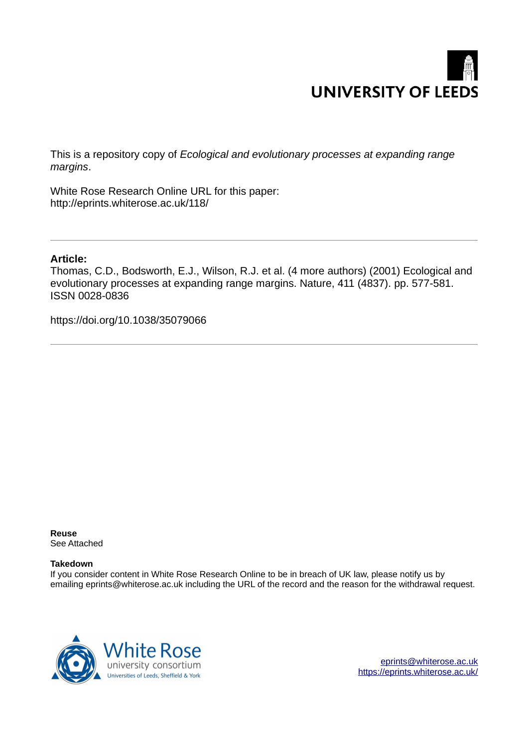

This is a repository copy of *Ecological and evolutionary processes at expanding range margins*.

White Rose Research Online URL for this paper: http://eprints.whiterose.ac.uk/118/

# **Article:**

Thomas, C.D., Bodsworth, E.J., Wilson, R.J. et al. (4 more authors) (2001) Ecological and evolutionary processes at expanding range margins. Nature, 411 (4837). pp. 577-581. ISSN 0028-0836

https://doi.org/10.1038/35079066

**Reuse**  See Attached

## **Takedown**

If you consider content in White Rose Research Online to be in breach of UK law, please notify us by emailing eprints@whiterose.ac.uk including the URL of the record and the reason for the withdrawal request.



[eprints@whiterose.ac.uk](mailto:eprints@whiterose.ac.uk) <https://eprints.whiterose.ac.uk/>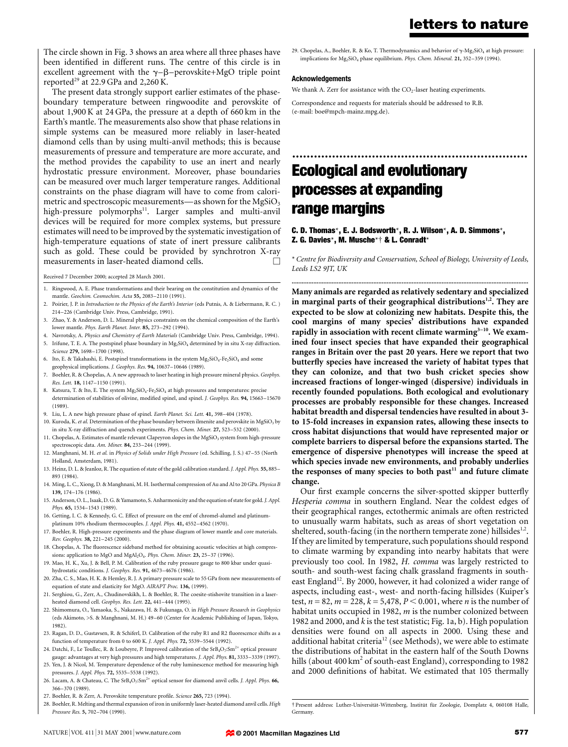The circle shown in Fig. 3 shows an area where all three phases have been identified in different runs. The centre of this circle is in excellent agreement with the  $\gamma-\beta$ -perovskite+MgO triple point reported<sup>29</sup> at 22.9 GPa and 2,260 K.

The present data strongly support earlier estimates of the phaseboundary temperature between ringwoodite and perovskite of about 1,900 K at 24 GPa, the pressure at a depth of 660 km in the Earth's mantle. The measurements also show that phase relations in simple systems can be measured more reliably in laser-heated diamond cells than by using multi-anvil methods; this is because measurements of pressure and temperature are more accurate, and the method provides the capability to use an inert and nearly hydrostatic pressure environment. Moreover, phase boundaries can be measured over much larger temperature ranges. Additional constraints on the phase diagram will have to come from calorimetric and spectroscopic measurements—as shown for the MgSiO<sub>3</sub> high-pressure polymorphs<sup>11</sup>. Larger samples and multi-anvil devices will be required for more complex systems, but pressure estimates will need to be improved by the systematic investigation of high-temperature equations of state of inert pressure calibrants such as gold. These could be provided by synchrotron X-ray measurements in laser-heated diamond cells.

Received 7 December 2000; accepted 28 March 2001.

- 1. Ringwood, A. E. Phase transformations and their bearing on the constitution and dynamics of the mantle. Geochim. Cosmochim. Acta 55, 2083-2110 (1991).
- 2. Poirier, J. P. in Introduction to the Physics of the Earth's Interior (eds Putnis, A. & Liebermann, R. C. ) 214-226 (Cambridge Univ. Press, Cambridge, 1991).
- 3. Zhao, Y. & Anderson, D. L. Mineral physics constraints on the chemical composition of the Earth's lower mantle. Phys. Earth Planet. Inter. 85, 273-292 (1994).
- 4. Navrotsky, A. Physics and Chemistry of Earth Materials (Cambridge Univ. Press, Cambridge, 1994). 5. Irifune, T. E. A. The postspinel phase boundary in  $Mg_2SiO_4$  determined by in situ X-ray diffraction.
- Science 279, 1698-1700 (1998). 6. Ito, E. & Takahashi, E. Postspinel transformations in the system  $Mg_2SiO_4-Fe_2SiO_4$  and some
- geophysical implications. *J. Geophys. Res.* 94, 10637-10646 (1989).
- 7. Boehler, R. & Chopelas, A. A new approach to laser heating in high pressure mineral physics. Geophys. Res. Lett. 18, 1147-1150 (1991).
- 8. Katsura, T. & Ito, E. The system Mg<sub>2</sub>SiO<sub>4</sub>-Fe<sub>2</sub>SiO<sub>4</sub> at high pressures and temperatures: precise determination of stabilities of olivine, modified spinel, and spinel. J. Geophys. Res. 94, 15663-15670 (1989).
- 9. Liu, L. A new high pressure phase of spinel. Earth Planet. Sci. Lett. 41, 398-404 (1978).
- 10. Kuroda, K. et al. Determination of the phase boundary between ilmenite and perovskite in MgSiO3 by in situ X-ray diffraction and quench experiments. Phys. Chem. Miner. 27, 523-532 (2000).
- 11. Chopelas, A. Estimates of mantle relevant Clapeyron slopes in the MgSiO<sub>3</sub> system from high-pressure spectroscopic data. Am. Miner. 84, 233-244 (1999).
- 12. Manghnani, M. H. et al. in Physics of Solids under High Pressure (ed. Schilling, J. S.) 47-55 (North Holland, Amsterdam, 1981).
- 13. Heinz, D. L. & Jeanloz, R. The equation of state of the gold calibration standard. *J. Appl. Phys.* 55, 885– 893 (1984).
- 14. Ming, L. C., Xiong, D. & Manghnani, M. H. Isothermal compression of Au and Al to 20 GPa. Physica B 139, 174±176 (1986).
- 15. Anderson, O. L., Isaak, D. G. & Yamamoto, S. Anharmonicity and the equation of state for gold. J. Appl. Phys. 65, 1534-1543 (1989).
- 16. Getting, I. C. & Kennedy, G. C. Effect of pressure on the emf of chromel-alumel and platinumplatinum 10% rhodium thermocouples. J. Appl. Phys. 41, 4552-4562 (1970).
- 17. Boehler, R. High-pressure experiments and the phase diagram of lower mantle and core materials. Rev. Geophys. 38, 221-245 (2000).
- 18. Chopelas, A. The fluorescence sideband method for obtaining acoustic velocities at high compressions: application to MgO and MgAl<sub>2</sub>O<sub>4</sub>. Phys. Chem. Miner. 23, 25-37 (1996).
- 19. Mao, H. K., Xu, J. & Bell, P. M. Calibration of the ruby pressure gauge to 800 kbar under quasihydrostatic conditions. J. Geophys. Res. 91, 4673-4676 (1986).
- 20. Zha, C. S., Mao, H. K. & Hemley, R. J. A primary pressure scale to 55 GPa from new measurements of equation of state and elasticity for MgO. AIRAPT Proc. 136, (1999).
- 21. Serghiou, G., Zerr, A., Chudinovskikh, L. & Boehler, R. The coesite-stishovite transition in a laserheated diamond cell. Geophys. Res. Lett. 22, 441-444 (1995).
- 22. Shimomura, O., Yamaoka, S., Nakazawa, H. & Fukunaga, O. in High Pressure Research in Geophysics (eds Akimoto, >S. & Manghnani, M. H.) 49-60 (Center for Academic Publishing of Japan, Tokyo, 1982).
- 23. Ragan, D. D., Gustavsen, R. & Schiferl, D. Calibration of the ruby R1 and R2 fluorescence shifts as a function of temperature from 0 to 600 K. J. Appl. Phys. 72, 5539-5544 (1992).
- 24. Datchi, F., Le Toullec, R. & Loubeyre, P. Improved calibration of the SrB<sub>4</sub>O<sub>7</sub>:Sm<sup>2+</sup> optical pressure
- gauge: advantages at very high pressures and high temperatures. J. Appl. Phys. 81, 3333-3339 (1997). 25. Yen, J. & Nicol, M. Temperature dependence of the ruby luminescence method for measuring high
- pressures. *J. Appl. Phys.* 72, 5535-5538 (1992). 26. Lacam, A. & Chateau, C. The  $SrB_4O_7:Sm^{2+}$  optical sensor for diamond anvil cells. *J. Appl. Phys.* 66, 366±370 (1989).
- 27. Boehler, R. & Zerr, A. Perovskite temperature profile. Science 265, 723 (1994).
- 28. Boehler, R. Melting and thermal expansion of iron in uniformly laser-heated diamond anvil cells. High Pressure Res. 5, 702-704 (1990).

29. Chopelas, A., Boehler, R. & Ko, T. Thermodynamics and behavior of  $\gamma$ -Mg<sub>2</sub>SiO<sub>4</sub> at high pressure: implications for  $Mg_2SiO_4$  phase equilibrium. Phys. Chem. Mineral. 21, 352-359 (1994).

#### Acknowledgements

We thank A. Zerr for assistance with the  $CO_2$ -laser heating experiments.

Correspondence and requests for materials should be addressed to R.B. (e-mail: boe@mpch-mainz.mpg.de).

................................................................. Ecological and evolutionary processes at expanding range margins

#### C. D. Thomas\*, E. J. Bodsworth\*, R. J. Wilson\*, A. D. Simmons\*, Z. G. Davies\*, M. Musche\*† & L. Conradt\*

\* Centre for Biodiversity and Conservation, School of Biology, University of Leeds, Leeds LS2 9JT, UK ..............................................................................................................................................

Many animals are regarded as relatively sedentary and specialized in marginal parts of their geographical distributions<sup>1,2</sup>. They are expected to be slow at colonizing new habitats. Despite this, the cool margins of many species' distributions have expanded rapidly in association with recent climate warming $3-10$ . We examined four insect species that have expanded their geographical ranges in Britain over the past 20 years. Here we report that two butterfly species have increased the variety of habitat types that they can colonize, and that two bush cricket species show increased fractions of longer-winged (dispersive) individuals in recently founded populations. Both ecological and evolutionary processes are probably responsible for these changes. Increased habitat breadth and dispersal tendencies have resulted in about 3 to 15-fold increases in expansion rates, allowing these insects to cross habitat disjunctions that would have represented major or complete barriers to dispersal before the expansions started. The emergence of dispersive phenotypes will increase the speed at which species invade new environments, and probably underlies the responses of many species to both past $11$  and future climate change.

Our first example concerns the silver-spotted skipper butterfly Hesperia comma in southern England. Near the coldest edges of their geographical ranges, ectothermic animals are often restricted to unusually warm habitats, such as areas of short vegetation on sheltered, south-facing (in the northern temperate zone) hillsides<sup>1,2</sup>. If they are limited by temperature, such populations should respond to climate warming by expanding into nearby habitats that were previously too cool. In 1982, H. comma was largely restricted to south- and south-west facing chalk grassland fragments in southeast England<sup>12</sup>. By 2000, however, it had colonized a wider range of aspects, including east-, west- and north-facing hillsides (Kuiper's test,  $n = 82$ ,  $m = 228$ ,  $k = 5,478$ ,  $P \le 0.001$ , where *n* is the number of habitat units occupied in 1982, *m* is the number colonized between 1982 and 2000, and k is the test statistic; Fig. 1a, b). High population densities were found on all aspects in 2000. Using these and additional habitat criteria<sup>12</sup> (see Methods), we were able to estimate the distributions of habitat in the eastern half of the South Downs hills (about 400 km $^2$  of south-east England), corresponding to 1982 and 2000 definitions of habitat. We estimated that 105 thermally

<sup>&</sup>lt;sup>†</sup> Present address: Luther-Universität-Wittenberg, Institüt für Zoologie, Domplatz 4, 060108 Halle, Germany.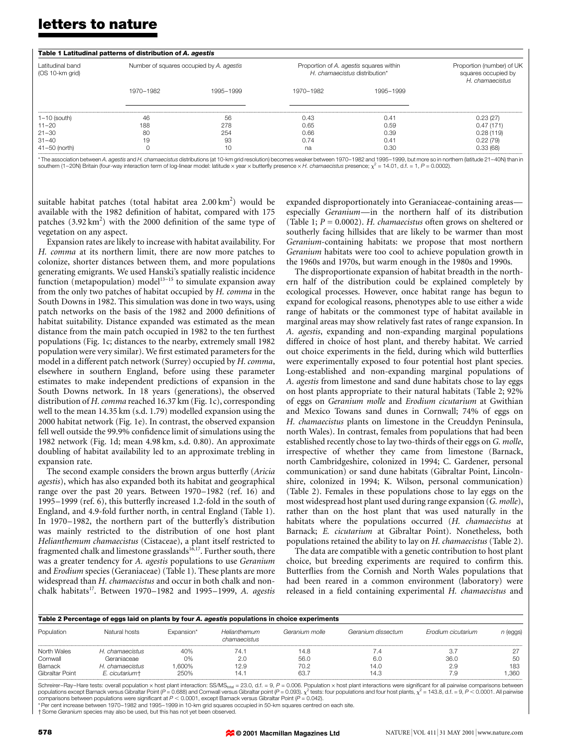# letters to nature

| Table 1 Latitudinal patterns of distribution of A. agestis |                                          |           |                                                                          |           |                                                                     |  |  |  |  |  |
|------------------------------------------------------------|------------------------------------------|-----------|--------------------------------------------------------------------------|-----------|---------------------------------------------------------------------|--|--|--|--|--|
| Latitudinal band<br>(OS 10-km grid)                        | Number of squares occupied by A. agestis |           | Proportion of A. agestis squares within<br>H. chamaecistus distribution* |           | Proportion (number) of UK<br>squares occupied by<br>H. chamaecistus |  |  |  |  |  |
|                                                            | 1970-1982                                | 1995-1999 | 1970-1982                                                                | 1995-1999 |                                                                     |  |  |  |  |  |
| $1-10$ (south)                                             | 46                                       | 56        | 0.43                                                                     | 0.41      | 0.23(27)                                                            |  |  |  |  |  |
| $11 - 20$                                                  | 188                                      | 278       | 0.65                                                                     | 0.59      | 0.47(171)                                                           |  |  |  |  |  |
| $21 - 30$                                                  | 80                                       | 254       | 0.66                                                                     | 0.39      | 0.28(119)                                                           |  |  |  |  |  |
| $31 - 40$                                                  | 19                                       | 93        | 0.74                                                                     | 0.41      | 0.22(79)                                                            |  |  |  |  |  |
| $41 - 50$ (north)                                          |                                          | 10        | na                                                                       | 0.30      | 0.33(68)                                                            |  |  |  |  |  |

\* The association between A. agestis and H. chamaecistus distributions (at 10-km grid resolution) becomes weaker between 1970-1982 and 1995-1999, but more so in northern (latitude 21-40N) than in southern (1–20N) Britain (four-way interaction term of log-linear model: latitude x year x butterfly presence x H. chamaecistus presence;  $\chi^2$  = 14.01, d.f. = 1, P = 0.0002).

suitable habitat patches (total habitat area 2.00 km<sup>2</sup>) would be available with the 1982 definition of habitat, compared with 175 patches  $(3.92 \text{ km}^2)$  with the 2000 definition of the same type of vegetation on any aspect.

Expansion rates are likely to increase with habitat availability. For H. comma at its northern limit, there are now more patches to colonize, shorter distances between them, and more populations generating emigrants. We used Hanski's spatially realistic incidence function (metapopulation) model<sup>13-15</sup> to simulate expansion away from the only two patches of habitat occupied by H. comma in the South Downs in 1982. This simulation was done in two ways, using patch networks on the basis of the 1982 and 2000 definitions of habitat suitability. Distance expanded was estimated as the mean distance from the main patch occupied in 1982 to the ten furthest populations (Fig. 1c; distances to the nearby, extremely small 1982 population were very similar). We first estimated parameters for the model in a different patch network (Surrey) occupied by H. comma, elsewhere in southern England, before using these parameter estimates to make independent predictions of expansion in the South Downs network. In 18 years (generations), the observed distribution of H. comma reached 16.37 km (Fig. 1c), corresponding well to the mean 14.35 km (s.d. 1.79) modelled expansion using the 2000 habitat network (Fig. 1e). In contrast, the observed expansion fell well outside the 99.9% confidence limit of simulations using the 1982 network (Fig. 1d; mean 4.98 km, s.d. 0.80). An approximate doubling of habitat availability led to an approximate trebling in expansion rate.

The second example considers the brown argus butterfly (Aricia agestis), which has also expanded both its habitat and geographical range over the past 20 years. Between 1970-1982 (ref. 16) and 1995-1999 (ref. 6), this butterfly increased 1.2-fold in the south of England, and 4.9-fold further north, in central England (Table 1). In 1970-1982, the northern part of the butterfly's distribution was mainly restricted to the distribution of one host plant Helianthemum chamaecistus (Cistaceae), a plant itself restricted to fragmented chalk and limestone grasslands<sup>16,17</sup>. Further south, there was a greater tendency for A. agestis populations to use Geranium and Erodium species (Geraniaceae) (Table 1). These plants are more widespread than H. chamaecistus and occur in both chalk and nonchalk habitats<sup>17</sup>. Between 1970-1982 and 1995-1999, A. agestis

expanded disproportionately into Geraniaceae-containing areas especially Geranium—in the northern half of its distribution (Table 1;  $P = 0.0002$ ). H. *chamaecistus* often grows on sheltered or southerly facing hillsides that are likely to be warmer than most Geranium-containing habitats: we propose that most northern Geranium habitats were too cool to achieve population growth in the 1960s and 1970s, but warm enough in the 1980s and 1990s.

The disproportionate expansion of habitat breadth in the northern half of the distribution could be explained completely by ecological processes. However, once habitat range has begun to expand for ecological reasons, phenotypes able to use either a wide range of habitats or the commonest type of habitat available in marginal areas may show relatively fast rates of range expansion. In A. agestis, expanding and non-expanding marginal populations differed in choice of host plant, and thereby habitat. We carried out choice experiments in the field, during which wild butterflies were experimentally exposed to four potential host plant species. Long-established and non-expanding marginal populations of A. agestis from limestone and sand dune habitats chose to lay eggs on host plants appropriate to their natural habitats (Table 2; 92% of eggs on Geranium molle and Erodium cicutarium at Gwithian and Mexico Towans sand dunes in Cornwall; 74% of eggs on H. chamaecistus plants on limestone in the Creuddyn Peninsula, north Wales). In contrast, females from populations that had been established recently chose to lay two-thirds of their eggs on G. molle, irrespective of whether they came from limestone (Barnack, north Cambridgeshire, colonized in 1994; C. Gardener, personal communication) or sand dune habitats (Gibraltar Point, Lincolnshire, colonized in 1994; K. Wilson, personal communication) (Table 2). Females in these populations chose to lay eggs on the most widespread host plant used during range expansion (G. molle), rather than on the host plant that was used naturally in the habitats where the populations occurred (H. chamaecistus at Barnack; E. cicutarium at Gibraltar Point). Nonetheless, both populations retained the ability to lay on H. chamaecistus (Table 2).

The data are compatible with a genetic contribution to host plant choice, but breeding experiments are required to confirm this. Butterflies from the Cornish and North Wales populations that had been reared in a common environment (laboratory) were released in a field containing experimental H. chamaecistus and

| Table 2 Percentage of eggs laid on plants by four A. agestis populations in choice experiments |                 |            |                              |                |                    |                    |          |  |  |  |  |
|------------------------------------------------------------------------------------------------|-----------------|------------|------------------------------|----------------|--------------------|--------------------|----------|--|--|--|--|
| Population                                                                                     | Natural hosts   | Expansion* | Helianthemum<br>chamaecistus | Geranium molle | Geranium dissectum | Frodium cicutarium | n (eggs) |  |  |  |  |
| North Wales                                                                                    | H, chamaecistus | 40%        | 74.                          | 14.8           | . . 4              |                    |          |  |  |  |  |
| Cornwall                                                                                       | Geraniaceae     | 0%         | 2.0                          | 56.0           | 6.0                | 36.0               | 50       |  |  |  |  |
| Barnack                                                                                        | H, chamaecistus | .600%      | 12.9                         | 70.2           | 14.0               | 2.9                | 183      |  |  |  |  |
| Gibraltar Point                                                                                | E. cicutarium+  | 250%       | 14.7                         | 63.7           | 14.3               | -9                 | .360     |  |  |  |  |

Schreirer-Ray-Hare tests: overall population  $\times$  host plant interaction: SS/MS<sub>total</sub> = 23.0, d.f. = 9, P = 0.006. Population  $\times$  host plant interactions were significant for all pairwise comparisons between populations except Barnack versus Gibraltar Point ( $P = 0.688$ ) and Cornwall versus Gibraltar point ( $P = 0.093$ ).  $\chi$ 2 tests: four populations and four host plants,  $\chi^2$  = 143.8, d.f. = 9,  $P$  < 0.0001. All pairwise comparisons between populations were significant at P < 0.0001, except Barnack versus Gibraltar Point (P = 0.042). \* Per cent increase between 1970-1982 and 1995-1999 in 10-km grid squares occupied in 50-km squares centred on each site.

<sup>+</sup> Some Geranium species may also be used, but this has not yet been observed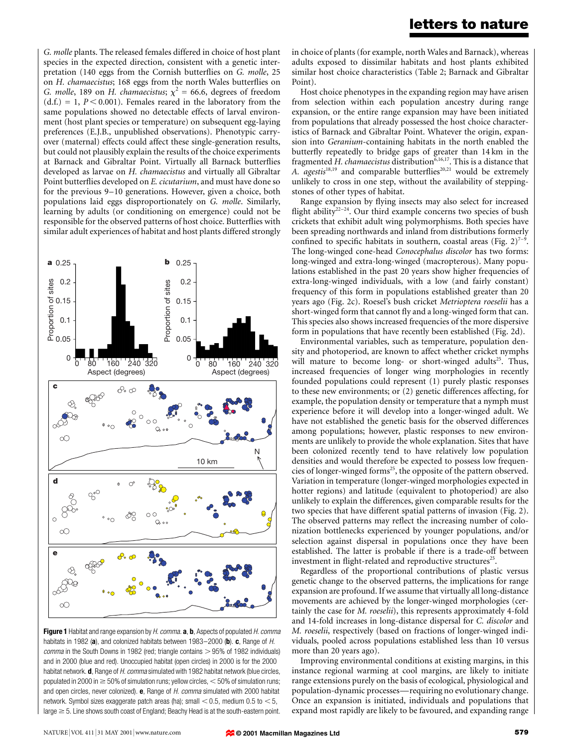G. molle plants. The released females differed in choice of host plant species in the expected direction, consistent with a genetic interpretation (140 eggs from the Cornish butterflies on G. molle, 25 on H. chamaecistus; 168 eggs from the north Wales butterflies on G. molle, 189 on H. chamaecistus;  $\chi^2 = 66.6$ , degrees of freedom  $(d.f.) = 1, P < 0.001$ . Females reared in the laboratory from the same populations showed no detectable effects of larval environment (host plant species or temperature) on subsequent egg-laying preferences (E.J.B., unpublished observations). Phenotypic carryover (maternal) effects could affect these single-generation results, but could not plausibly explain the results of the choice experiments at Barnack and Gibraltar Point. Virtually all Barnack butterflies developed as larvae on H. chamaecistus and virtually all Gibraltar Point butterflies developed on E. cicutarium, and must have done so for the previous 9-10 generations. However, given a choice, both populations laid eggs disproportionately on G. molle. Similarly, learning by adults (or conditioning on emergence) could not be responsible for the observed patterns of host choice. Butterflies with similar adult experiences of habitat and host plants differed strongly



Figure 1 Habitat and range expansion by H. comma. a, b, Aspects of populated H. comma habitats in 1982 (a), and colonized habitats between 1983 $-2000$  (b). c, Range of H.  $comma$  in the South Downs in 1982 (red; triangle contains  $>$  95% of 1982 individuals) and in 2000 (blue and red). Unoccupied habitat (open circles) in 2000 is for the 2000 habitat network. **d**, Range of *H. comma* simulated with 1982 habitat network (blue circles, populated in 2000 in  $\geq$  50% of simulation runs; yellow circles,  $<$  50% of simulation runs; and open circles, never colonized). e, Range of H. comma simulated with 2000 habitat network. Symbol sizes exaggerate patch areas (ha); small  $<$  0.5, medium 0.5 to  $<$  5, large  $\geq$  5. Line shows south coast of England; Beachy Head is at the south-eastern point.

in choice of plants (for example, north Wales and Barnack), whereas adults exposed to dissimilar habitats and host plants exhibited similar host choice characteristics (Table 2; Barnack and Gibraltar Point).

Host choice phenotypes in the expanding region may have arisen from selection within each population ancestry during range expansion, or the entire range expansion may have been initiated from populations that already possessed the host choice characteristics of Barnack and Gibraltar Point. Whatever the origin, expansion into Geranium-containing habitats in the north enabled the butterfly repeatedly to bridge gaps of greater than 14 km in the fragmented H. chamaecistus distribution<sup>6,16,17</sup>. This is a distance that A.  $a$ gestis<sup>18,19</sup> and comparable butterflies<sup>20,21</sup> would be extremely unlikely to cross in one step, without the availability of steppingstones of other types of habitat.

Range expansion by flying insects may also select for increased flight ability<sup>22-24</sup>. Our third example concerns two species of bush crickets that exhibit adult wing polymorphisms. Both species have been spreading northwards and inland from distributions formerly confined to specific habitats in southern, coastal areas (Fig.  $2)^{7-9}$ . The long-winged cone-head Conocephalus discolor has two forms: long-winged and extra-long-winged (macropterous). Many populations established in the past 20 years show higher frequencies of extra-long-winged individuals, with a low (and fairly constant) frequency of this form in populations established greater than 20 years ago (Fig. 2c). Roesel's bush cricket Metrioptera roeselii has a short-winged form that cannot fly and a long-winged form that can. This species also shows increased frequencies of the more dispersive form in populations that have recently been established (Fig. 2d).

Environmental variables, such as temperature, population density and photoperiod, are known to affect whether cricket nymphs will mature to become long- or short-winged adults<sup>25</sup>. Thus, increased frequencies of longer wing morphologies in recently founded populations could represent (1) purely plastic responses to these new environments; or (2) genetic differences affecting, for example, the population density or temperature that a nymph must experience before it will develop into a longer-winged adult. We have not established the genetic basis for the observed differences among populations; however, plastic responses to new environments are unlikely to provide the whole explanation. Sites that have been colonized recently tend to have relatively low population densities and would therefore be expected to possess low frequencies of longer-winged forms<sup>25</sup>, the opposite of the pattern observed. Variation in temperature (longer-winged morphologies expected in hotter regions) and latitude (equivalent to photoperiod) are also unlikely to explain the differences, given comparable results for the two species that have different spatial patterns of invasion (Fig. 2). The observed patterns may reflect the increasing number of colonization bottlenecks experienced by younger populations, and/or selection against dispersal in populations once they have been established. The latter is probable if there is a trade-off between investment in flight-related and reproductive structures<sup>25</sup>.

Regardless of the proportional contributions of plastic versus genetic change to the observed patterns, the implications for range expansion are profound. If we assume that virtually all long-distance movements are achieved by the longer-winged morphologies (certainly the case for M. roeselii), this represents approximately 4-fold and 14-fold increases in long-distance dispersal for C. discolor and M. roeselii, respectively (based on fractions of longer-winged individuals, pooled across populations established less than 10 versus more than 20 years ago).

Improving environmental conditions at existing margins, in this instance regional warming at cool margins, are likely to initiate range extensions purely on the basis of ecological, physiological and population-dynamic processes—requiring no evolutionary change. Once an expansion is initiated, individuals and populations that expand most rapidly are likely to be favoured, and expanding range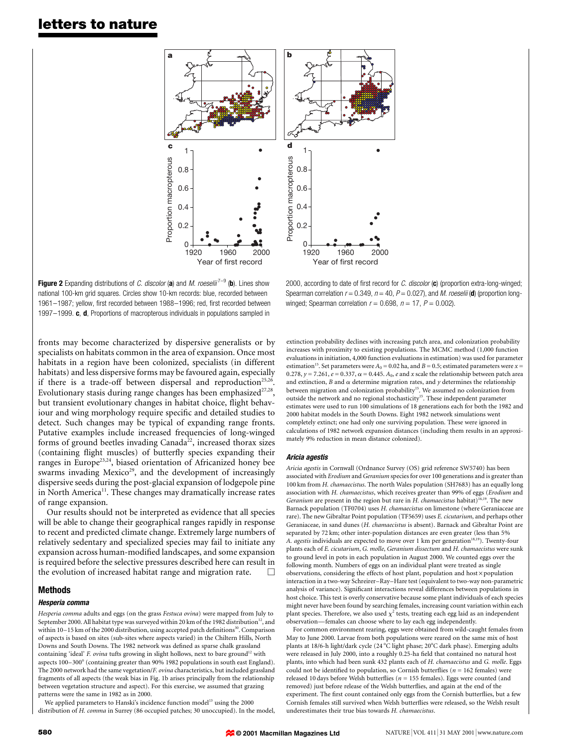# letters to nature



**Figure 2** Expanding distributions of *C. discolor* (a) and *M. roeselii*<sup>7-9</sup> (b). Lines show national 100-km grid squares. Circles show 10-km records: blue, recorded between 1961-1987; yellow, first recorded between 1988-1996; red, first recorded between 1997 $-1999$ . c, d, Proportions of macropterous individuals in populations sampled in

fronts may become characterized by dispersive generalists or by specialists on habitats common in the area of expansion. Once most habitats in a region have been colonized, specialists (in different habitats) and less dispersive forms may be favoured again, especially if there is a trade-off between dispersal and reproduction<sup>25,26</sup>. Evolutionary stasis during range changes has been emphasized $27,28$ , but transient evolutionary changes in habitat choice, flight behaviour and wing morphology require specific and detailed studies to detect. Such changes may be typical of expanding range fronts. Putative examples include increased frequencies of long-winged forms of ground beetles invading Canada<sup>22</sup>, increased thorax sizes (containing flight muscles) of butterfly species expanding their ranges in Europe<sup>23,24</sup>, biased orientation of Africanized honey bee swarms invading Mexico<sup>29</sup>, and the development of increasingly dispersive seeds during the post-glacial expansion of lodgepole pine in North America<sup>11</sup>. These changes may dramatically increase rates of range expansion.

Our results should not be interpreted as evidence that all species will be able to change their geographical ranges rapidly in response to recent and predicted climate change. Extremely large numbers of relatively sedentary and specialized species may fail to initiate any expansion across human-modified landscapes, and some expansion is required before the selective pressures described here can result in the evolution of increased habitat range and migration rate.  $\Box$ 

### Methods

#### Hesperia comma

Hesperia comma adults and eggs (on the grass Festuca ovina) were mapped from July to September 2000. All habitat type was surveyed within 20 km of the 1982 distribution<sup>12</sup>, and within 10-15 km of the 2000 distribution, using accepted patch definitions<sup>30</sup>. Comparison of aspects is based on sites (sub-sites where aspects varied) in the Chiltern Hills, North Downs and South Downs. The 1982 network was defined as sparse chalk grassland containing 'ideal' F. ovina tufts growing in slight hollows, next to bare ground<sup>12</sup> with aspects 100-300° (containing greater than 90% 1982 populations in south east England). The 2000 network had the same vegetation/F. ovina characteristics, but included grassland fragments of all aspects (the weak bias in Fig. 1b arises principally from the relationship between vegetation structure and aspect). For this exercise, we assumed that grazing patterns were the same in 1982 as in 2000.

We applied parameters to Hanski's incidence function model<sup>13</sup> using the 2000 distribution of H. comma in Surrey (86 occupied patches; 30 unoccupied). In the model,

2000, according to date of first record for C. discolor  $(c)$  (proportion extra-long-winged; Spearman correlation  $r = 0.349$ ,  $n = 40$ ,  $P = 0.027$ ), and *M. roeselii* (**d**) (proportion longwinged; Spearman correlation  $r = 0.698$ ,  $n = 17$ ,  $P = 0.002$ ).

extinction probability declines with increasing patch area, and colonization probability increases with proximity to existing populations. The MCMC method (1,000 function evaluations in initiation, 4,000 function evaluations in estimation) was used for parameter estimation<sup>15</sup>. Set parameters were  $A_0 = 0.02$  ha, and  $B = 0.5$ ; estimated parameters were  $x =$ 0.278,  $y = 7.261$ ,  $e = 0.337$ ,  $\alpha = 0.445$ .  $A_0$ ,  $e$  and  $x$  scale the relationship between patch area and extinction, B and  $\alpha$  determine migration rates, and  $y$  determines the relationship between migration and colonization probability<sup>15</sup>. We assumed no colonization from outside the network and no regional stochasticity<sup>15</sup>. These independent parameter estimates were used to run 100 simulations of 18 generations each for both the 1982 and 2000 habitat models in the South Downs. Eight 1982 network simulations went completely extinct; one had only one surviving population. These were ignored in calculations of 1982 network expansion distances (including them results in an approximately 9% reduction in mean distance colonized).

#### Aricia agestis

Aricia agestis in Cornwall (Ordnance Survey (OS) grid reference SW5740) has been associated with Erodium and Geranium species for over 100 generations and is greater than 100 km from H. chamaecistus. The north Wales population (SH7683) has an equally long association with H. chamaecistus, which receives greater than 99% of eggs (Erodium and Geranium are present in the region but rare in  $H$ . chamaecistus habitat)<sup>16,19</sup>. The new Barnack population (TF0704) uses H. chamaecistus on limestone (where Geraniaceae are rare). The new Gibraltar Point population (TF5659) uses E. cicutarium, and perhaps other Geraniaceae, in sand dunes (H. chamaecistus is absent). Barnack and Gibraltar Point are separated by 72 km; other inter-population distances are even greater (less than 5% A. agestis individuals are expected to move over 1 km per generation<sup>18,19</sup>). Twenty-four plants each of E. cicutarium, G. molle, Geranium dissectum and H. chamaecistus were sunk to ground level in pots in each population in August 2000. We counted eggs over the following month. Numbers of eggs on an individual plant were treated as single observations, considering the effects of host plant, population and host  $\times$  population interaction in a two-way Schreirer-Ray-Hare test (equivalent to two-way non-parametric analysis of variance). Significant interactions reveal differences between populations in host choice. This test is overly conservative because some plant individuals of each species might never have been found by searching females, increasing count variation within each plant species. Therefore, we also used  $\chi^2$  tests, treating each egg laid as an independent observation—females can choose where to lay each egg independently.

For common environment rearing, eggs were obtained from wild-caught females from May to June 2000. Larvae from both populations were reared on the same mix of host plants at 18/6-h light/dark cycle (24  $^{\circ}\mathrm{C}$  light phase; 20  $^{\circ}\mathrm{C}$  dark phase). Emerging adults were released in July 2000, into a roughly 0.25-ha field that contained no natural host plants, into which had been sunk 432 plants each of H. chamaecistus and G. molle. Eggs could not be identified to population, so Cornish butterflies ( $n = 162$  females) were released 10 days before Welsh butterflies ( $n = 155$  females). Eggs were counted (and removed) just before release of the Welsh butterflies, and again at the end of the experiment. The first count contained only eggs from the Cornish butterflies, but a few Cornish females still survived when Welsh butterflies were released, so the Welsh result underestimates their true bias towards H. chamaecistus.